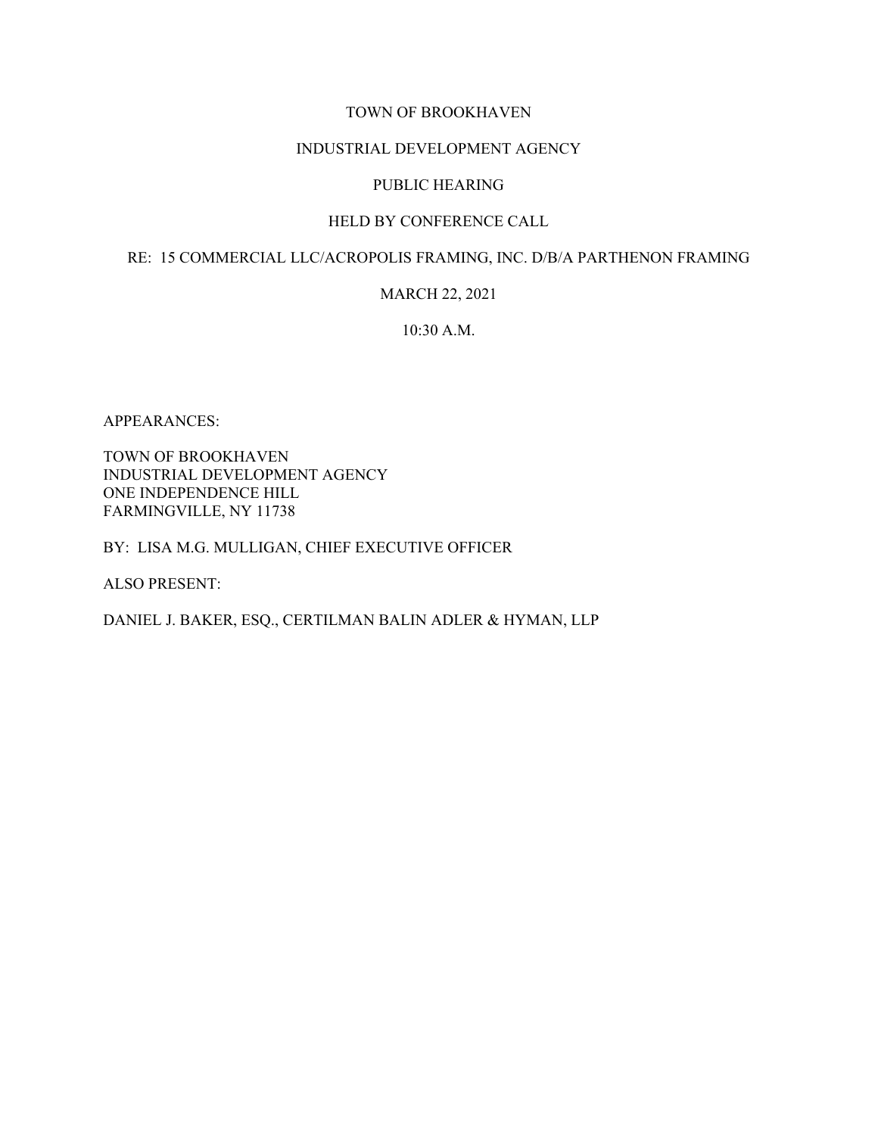### TOWN OF BROOKHAVEN

#### INDUSTRIAL DEVELOPMENT AGENCY

#### PUBLIC HEARING

## HELD BY CONFERENCE CALL

#### RE: 15 COMMERCIAL LLC/ACROPOLIS FRAMING, INC. D/B/A PARTHENON FRAMING

#### MARCH 22, 2021

## 10:30 A.M.

APPEARANCES:

TOWN OF BROOKHAVEN INDUSTRIAL DEVELOPMENT AGENCY ONE INDEPENDENCE HILL FARMINGVILLE, NY 11738

## BY: LISA M.G. MULLIGAN, CHIEF EXECUTIVE OFFICER

ALSO PRESENT:

DANIEL J. BAKER, ESQ., CERTILMAN BALIN ADLER & HYMAN, LLP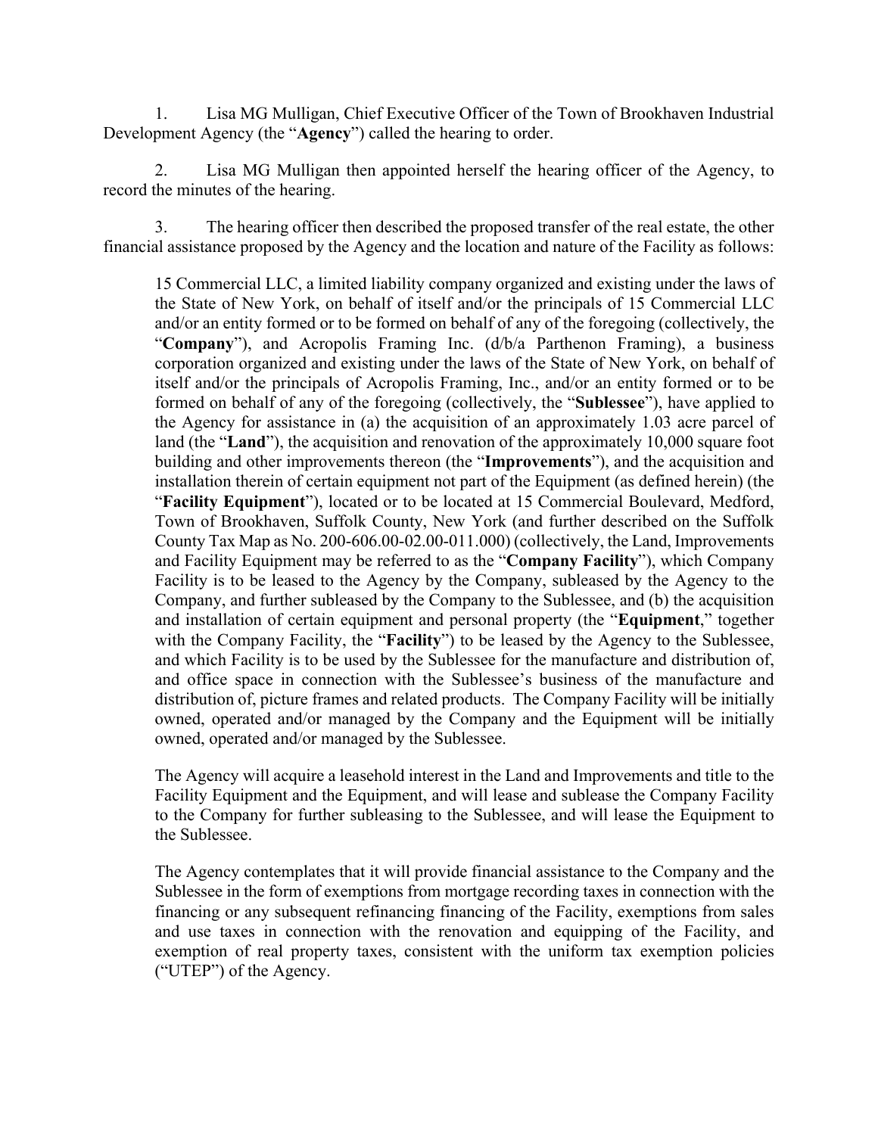1. Lisa MG Mulligan, Chief Executive Officer of the Town of Brookhaven Industrial Development Agency (the "**Agency**") called the hearing to order.

2. Lisa MG Mulligan then appointed herself the hearing officer of the Agency, to record the minutes of the hearing.

3. The hearing officer then described the proposed transfer of the real estate, the other financial assistance proposed by the Agency and the location and nature of the Facility as follows:

15 Commercial LLC, a limited liability company organized and existing under the laws of the State of New York, on behalf of itself and/or the principals of 15 Commercial LLC and/or an entity formed or to be formed on behalf of any of the foregoing (collectively, the "**Company**"), and Acropolis Framing Inc. (d/b/a Parthenon Framing), a business corporation organized and existing under the laws of the State of New York, on behalf of itself and/or the principals of Acropolis Framing, Inc., and/or an entity formed or to be formed on behalf of any of the foregoing (collectively, the "**Sublessee**"), have applied to the Agency for assistance in (a) the acquisition of an approximately 1.03 acre parcel of land (the "**Land**"), the acquisition and renovation of the approximately 10,000 square foot building and other improvements thereon (the "**Improvements**"), and the acquisition and installation therein of certain equipment not part of the Equipment (as defined herein) (the "**Facility Equipment**"), located or to be located at 15 Commercial Boulevard, Medford, Town of Brookhaven, Suffolk County, New York (and further described on the Suffolk County Tax Map as No. 200-606.00-02.00-011.000) (collectively, the Land, Improvements and Facility Equipment may be referred to as the "**Company Facility**"), which Company Facility is to be leased to the Agency by the Company, subleased by the Agency to the Company, and further subleased by the Company to the Sublessee, and (b) the acquisition and installation of certain equipment and personal property (the "**Equipment**," together with the Company Facility, the "**Facility**") to be leased by the Agency to the Sublessee, and which Facility is to be used by the Sublessee for the manufacture and distribution of, and office space in connection with the Sublessee's business of the manufacture and distribution of, picture frames and related products. The Company Facility will be initially owned, operated and/or managed by the Company and the Equipment will be initially owned, operated and/or managed by the Sublessee.

The Agency will acquire a leasehold interest in the Land and Improvements and title to the Facility Equipment and the Equipment, and will lease and sublease the Company Facility to the Company for further subleasing to the Sublessee, and will lease the Equipment to the Sublessee.

The Agency contemplates that it will provide financial assistance to the Company and the Sublessee in the form of exemptions from mortgage recording taxes in connection with the financing or any subsequent refinancing financing of the Facility, exemptions from sales and use taxes in connection with the renovation and equipping of the Facility, and exemption of real property taxes, consistent with the uniform tax exemption policies ("UTEP") of the Agency.